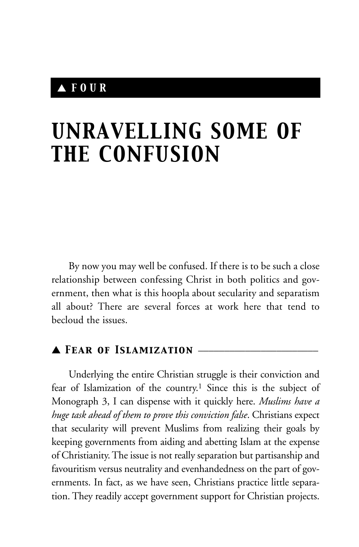### ▲ *FOUR*

# *UNRAVELLING SOME OF THE CONFUSION*

By now you may well be confused. If there is to be such a close relationship between confessing Christ in both politics and government, then what is this hoopla about secularity and separatism all about? There are several forces at work here that tend to becloud the issues.

### ▲ *Fear of Islamization* \_\_\_\_\_\_\_\_\_\_\_\_\_\_\_\_\_\_\_\_\_\_\_

Underlying the entire Christian struggle is their conviction and fear of Islamization of the country.1 Since this is the subject of Monograph 3, I can dispense with it quickly here. *Muslims have a huge task ahead of them to prove this conviction false*. Christians expect that secularity will prevent Muslims from realizing their goals by keeping governments from aiding and abetting Islam at the expense of Christianity. The issue is not really separation but partisanship and favouritism versus neutrality and evenhandedness on the part of governments. In fact, as we have seen, Christians practice little separation. They readily accept government support for Christian projects.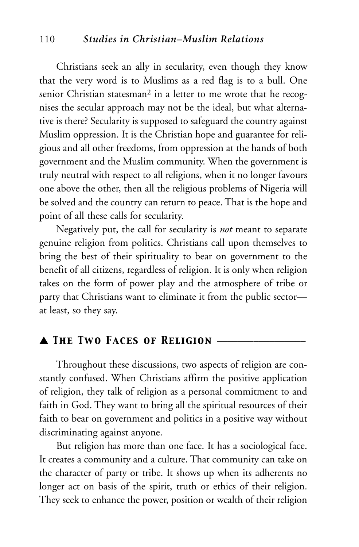#### 110 *Studies in Christian–Muslim Relations*

Christians seek an ally in secularity, even though they know that the very word is to Muslims as a red flag is to a bull. One senior Christian statesman<sup>2</sup> in a letter to me wrote that he recognises the secular approach may not be the ideal, but what alternative is there? Secularity is supposed to safeguard the country against Muslim oppression. It is the Christian hope and guarantee for religious and all other freedoms, from oppression at the hands of both government and the Muslim community. When the government is truly neutral with respect to all religions, when it no longer favours one above the other, then all the religious problems of Nigeria will be solved and the country can return to peace. That is the hope and point of all these calls for secularity.

Negatively put, the call for secularity is *not* meant to separate genuine religion from politics. Christians call upon themselves to bring the best of their spirituality to bear on government to the benefit of all citizens, regardless of religion. It is only when religion takes on the form of power play and the atmosphere of tribe or party that Christians want to eliminate it from the public sector at least, so they say.

#### ▲ *The Two Faces of Religion* \_\_\_\_\_\_\_\_\_\_\_\_\_\_\_\_\_

Throughout these discussions, two aspects of religion are constantly confused. When Christians affirm the positive application of religion, they talk of religion as a personal commitment to and faith in God. They want to bring all the spiritual resources of their faith to bear on government and politics in a positive way without discriminating against anyone.

But religion has more than one face. It has a sociological face. It creates a community and a culture. That community can take on the character of party or tribe. It shows up when its adherents no longer act on basis of the spirit, truth or ethics of their religion. They seek to enhance the power, position or wealth of their religion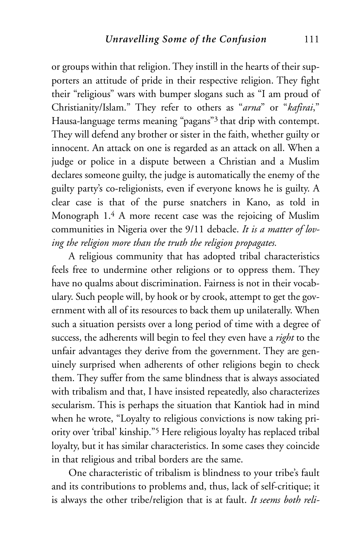or groups within that religion. They instill in the hearts of their supporters an attitude of pride in their respective religion. They fight their "religious" wars with bumper slogans such as "I am proud of Christianity/Islam." They refer to others as "*arna*" or "*kafirai*," Hausa-language terms meaning "pagans"3 that drip with contempt. They will defend any brother or sister in the faith, whether guilty or innocent. An attack on one is regarded as an attack on all. When a judge or police in a dispute between a Christian and a Muslim declares someone guilty, the judge is automatically the enemy of the guilty party's co-religionists, even if everyone knows he is guilty. A clear case is that of the purse snatchers in Kano, as told in Monograph 1.4 A more recent case was the rejoicing of Muslim communities in Nigeria over the 9/11 debacle. *It is a matter of loving the religion more than the truth the religion propagates.*

A religious community that has adopted tribal characteristics feels free to undermine other religions or to oppress them. They have no qualms about discrimination. Fairness is not in their vocabulary. Such people will, by hook or by crook, attempt to get the government with all of its resources to back them up unilaterally. When such a situation persists over a long period of time with a degree of success, the adherents will begin to feel they even have a *right* to the unfair advantages they derive from the government. They are genuinely surprised when adherents of other religions begin to check them. They suffer from the same blindness that is always associated with tribalism and that, I have insisted repeatedly, also characterizes secularism. This is perhaps the situation that Kantiok had in mind when he wrote, "Loyalty to religious convictions is now taking priority over 'tribal' kinship."5 Here religious loyalty has replaced tribal loyalty, but it has similar characteristics. In some cases they coincide in that religious and tribal borders are the same.

One characteristic of tribalism is blindness to your tribe's fault and its contributions to problems and, thus, lack of self-critique; it is always the other tribe/religion that is at fault. *It seems both reli-*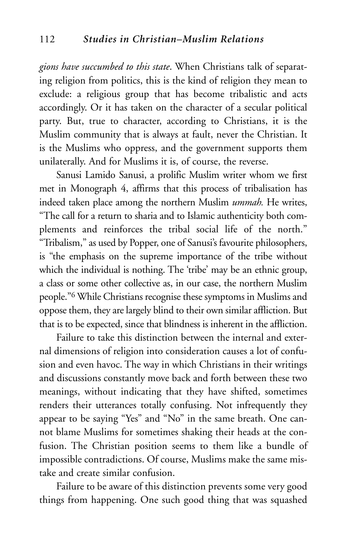*gions have succumbed to this state*. When Christians talk of separating religion from politics, this is the kind of religion they mean to exclude: a religious group that has become tribalistic and acts accordingly. Or it has taken on the character of a secular political party. But, true to character, according to Christians, it is the Muslim community that is always at fault, never the Christian. It is the Muslims who oppress, and the government supports them unilaterally. And for Muslims it is, of course, the reverse.

Sanusi Lamido Sanusi, a prolific Muslim writer whom we first met in Monograph 4, affirms that this process of tribalisation has indeed taken place among the northern Muslim *ummah.* He writes, "The call for a return to sharia and to Islamic authenticity both complements and reinforces the tribal social life of the north." "Tribalism," as used by Popper, one of Sanusi's favourite philosophers, is "the emphasis on the supreme importance of the tribe without which the individual is nothing. The 'tribe' may be an ethnic group, a class or some other collective as, in our case, the northern Muslim people."6 While Christians recognise these symptoms in Muslims and oppose them, they are largely blind to their own similar affliction. But that is to be expected, since that blindness is inherent in the affliction.

Failure to take this distinction between the internal and external dimensions of religion into consideration causes a lot of confusion and even havoc. The way in which Christians in their writings and discussions constantly move back and forth between these two meanings, without indicating that they have shifted, sometimes renders their utterances totally confusing. Not infrequently they appear to be saying "Yes" and "No" in the same breath. One cannot blame Muslims for sometimes shaking their heads at the confusion. The Christian position seems to them like a bundle of impossible contradictions. Of course, Muslims make the same mistake and create similar confusion.

Failure to be aware of this distinction prevents some very good things from happening. One such good thing that was squashed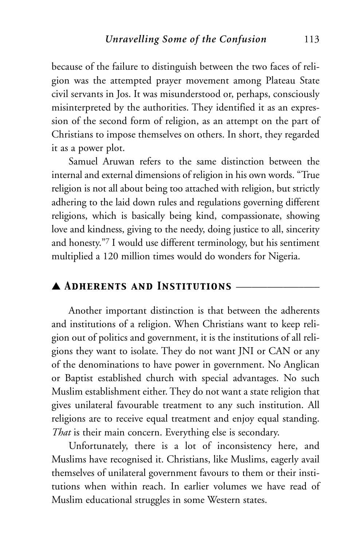because of the failure to distinguish between the two faces of religion was the attempted prayer movement among Plateau State civil servants in Jos. It was misunderstood or, perhaps, consciously misinterpreted by the authorities. They identified it as an expression of the second form of religion, as an attempt on the part of Christians to impose themselves on others. In short, they regarded it as a power plot.

Samuel Aruwan refers to the same distinction between the internal and external dimensions of religion in his own words. "True religion is not all about being too attached with religion, but strictly adhering to the laid down rules and regulations governing different religions, which is basically being kind, compassionate, showing love and kindness, giving to the needy, doing justice to all, sincerity and honesty."7 I would use different terminology, but his sentiment multiplied a 120 million times would do wonders for Nigeria.

#### ▲ *Adherents and Institutions* \_\_\_\_\_\_\_\_\_\_\_\_\_\_\_\_

Another important distinction is that between the adherents and institutions of a religion. When Christians want to keep religion out of politics and government, it is the institutions of all religions they want to isolate. They do not want JNI or CAN or any of the denominations to have power in government. No Anglican or Baptist established church with special advantages. No such Muslim establishment either. They do not want a state religion that gives unilateral favourable treatment to any such institution. All religions are to receive equal treatment and enjoy equal standing. *That* is their main concern. Everything else is secondary.

Unfortunately, there is a lot of inconsistency here, and Muslims have recognised it. Christians, like Muslims, eagerly avail themselves of unilateral government favours to them or their institutions when within reach. In earlier volumes we have read of Muslim educational struggles in some Western states.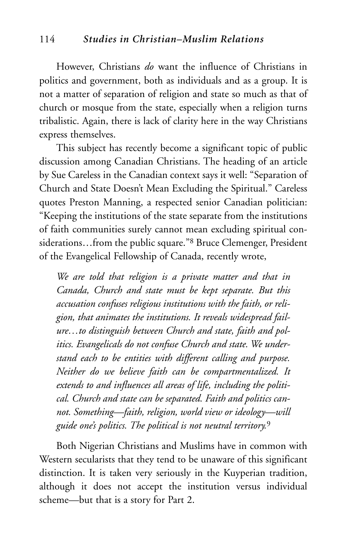However, Christians *do* want the influence of Christians in politics and government, both as individuals and as a group. It is not a matter of separation of religion and state so much as that of church or mosque from the state, especially when a religion turns tribalistic. Again, there is lack of clarity here in the way Christians express themselves.

This subject has recently become a significant topic of public discussion among Canadian Christians. The heading of an article by Sue Careless in the Canadian context says it well: "Separation of Church and State Doesn't Mean Excluding the Spiritual." Careless quotes Preston Manning, a respected senior Canadian politician: "Keeping the institutions of the state separate from the institutions of faith communities surely cannot mean excluding spiritual considerations…from the public square."8 Bruce Clemenger, President of the Evangelical Fellowship of Canada, recently wrote,

*We are told that religion is a private matter and that in Canada, Church and state must be kept separate. But this accusation confuses religious institutions with the faith, or religion, that animates the institutions. It reveals widespread failure…to distinguish between Church and state, faith and politics. Evangelicals do not confuse Church and state. We understand each to be entities with different calling and purpose. Neither do we believe faith can be compartmentalized. It extends to and influences all areas of life, including the political. Church and state can be separated. Faith and politics cannot. Something—faith, religion, world view or ideology—will guide one's politics. The political is not neutral territory.*<sup>9</sup>

Both Nigerian Christians and Muslims have in common with Western secularists that they tend to be unaware of this significant distinction. It is taken very seriously in the Kuyperian tradition, although it does not accept the institution versus individual scheme—but that is a story for Part 2.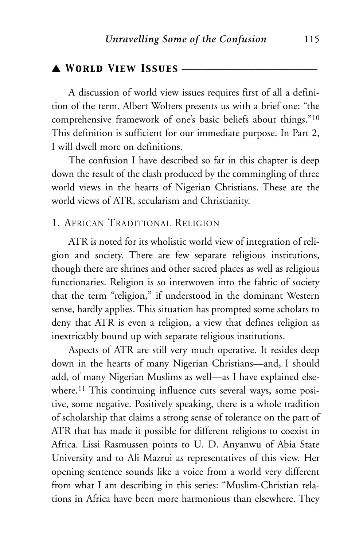#### ▲ *World View Issues* \_\_\_\_\_\_\_\_\_\_\_\_\_\_\_\_\_\_\_\_\_\_\_\_\_\_

A discussion of world view issues requires first of all a definition of the term. Albert Wolters presents us with a brief one: "the comprehensive framework of one's basic beliefs about things."10 This definition is sufficient for our immediate purpose. In Part 2, I will dwell more on definitions.

The confusion I have described so far in this chapter is deep down the result of the clash produced by the commingling of three world views in the hearts of Nigerian Christians. These are the world views of ATR, secularism and Christianity.

#### 1. AFRICAN TRADITIONAL RELIGION

ATR is noted for its wholistic world view of integration of religion and society. There are few separate religious institutions, though there are shrines and other sacred places as well as religious functionaries. Religion is so interwoven into the fabric of society that the term "religion," if understood in the dominant Western sense, hardly applies. This situation has prompted some scholars to deny that ATR is even a religion, a view that defines religion as inextricably bound up with separate religious institutions.

Aspects of ATR are still very much operative. It resides deep down in the hearts of many Nigerian Christians—and, I should add, of many Nigerian Muslims as well—as I have explained elsewhere.<sup>11</sup> This continuing influence cuts several ways, some positive, some negative. Positively speaking, there is a whole tradition of scholarship that claims a strong sense of tolerance on the part of ATR that has made it possible for different religions to coexist in Africa. Lissi Rasmussen points to U. D. Anyanwu of Abia State University and to Ali Mazrui as representatives of this view. Her opening sentence sounds like a voice from a world very different from what I am describing in this series: "Muslim-Christian relations in Africa have been more harmonious than elsewhere. They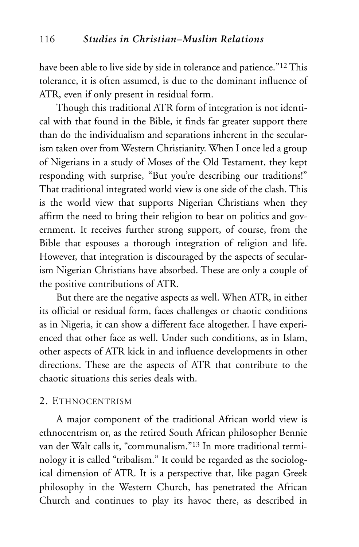have been able to live side by side in tolerance and patience."<sup>12</sup> This tolerance, it is often assumed, is due to the dominant influence of ATR, even if only present in residual form.

Though this traditional ATR form of integration is not identical with that found in the Bible, it finds far greater support there than do the individualism and separations inherent in the secularism taken over from Western Christianity. When I once led a group of Nigerians in a study of Moses of the Old Testament, they kept responding with surprise, "But you're describing our traditions!" That traditional integrated world view is one side of the clash. This is the world view that supports Nigerian Christians when they affirm the need to bring their religion to bear on politics and government. It receives further strong support, of course, from the Bible that espouses a thorough integration of religion and life. However, that integration is discouraged by the aspects of secularism Nigerian Christians have absorbed. These are only a couple of the positive contributions of ATR.

But there are the negative aspects as well. When ATR, in either its official or residual form, faces challenges or chaotic conditions as in Nigeria, it can show a different face altogether. I have experienced that other face as well. Under such conditions, as in Islam, other aspects of ATR kick in and influence developments in other directions. These are the aspects of ATR that contribute to the chaotic situations this series deals with.

#### 2. ETHNOCENTRISM

A major component of the traditional African world view is ethnocentrism or, as the retired South African philosopher Bennie van der Walt calls it, "communalism."13 In more traditional terminology it is called "tribalism." It could be regarded as the sociological dimension of ATR. It is a perspective that, like pagan Greek philosophy in the Western Church, has penetrated the African Church and continues to play its havoc there, as described in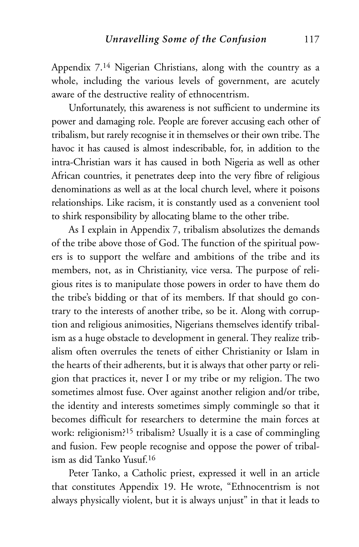Appendix 7.14 Nigerian Christians, along with the country as a whole, including the various levels of government, are acutely aware of the destructive reality of ethnocentrism.

Unfortunately, this awareness is not sufficient to undermine its power and damaging role. People are forever accusing each other of tribalism, but rarely recognise it in themselves or their own tribe. The havoc it has caused is almost indescribable, for, in addition to the intra-Christian wars it has caused in both Nigeria as well as other African countries, it penetrates deep into the very fibre of religious denominations as well as at the local church level, where it poisons relationships. Like racism, it is constantly used as a convenient tool to shirk responsibility by allocating blame to the other tribe.

As I explain in Appendix 7, tribalism absolutizes the demands of the tribe above those of God. The function of the spiritual powers is to support the welfare and ambitions of the tribe and its members, not, as in Christianity, vice versa. The purpose of religious rites is to manipulate those powers in order to have them do the tribe's bidding or that of its members. If that should go contrary to the interests of another tribe, so be it. Along with corruption and religious animosities, Nigerians themselves identify tribalism as a huge obstacle to development in general. They realize tribalism often overrules the tenets of either Christianity or Islam in the hearts of their adherents, but it is always that other party or religion that practices it, never I or my tribe or my religion. The two sometimes almost fuse. Over against another religion and/or tribe, the identity and interests sometimes simply commingle so that it becomes difficult for researchers to determine the main forces at work: religionism?15 tribalism? Usually it is a case of commingling and fusion. Few people recognise and oppose the power of tribalism as did Tanko Yusuf.16

Peter Tanko, a Catholic priest, expressed it well in an article that constitutes Appendix 19. He wrote, "Ethnocentrism is not always physically violent, but it is always unjust" in that it leads to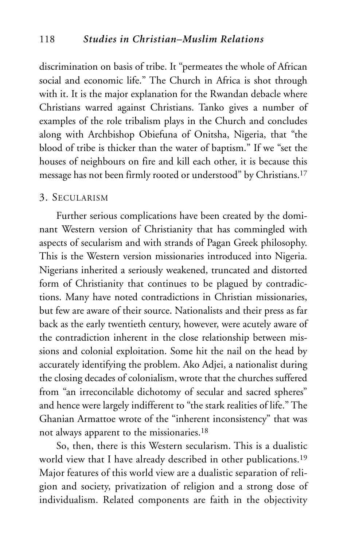discrimination on basis of tribe. It "permeates the whole of African social and economic life." The Church in Africa is shot through with it. It is the major explanation for the Rwandan debacle where Christians warred against Christians. Tanko gives a number of examples of the role tribalism plays in the Church and concludes along with Archbishop Obiefuna of Onitsha, Nigeria, that "the blood of tribe is thicker than the water of baptism." If we "set the houses of neighbours on fire and kill each other, it is because this message has not been firmly rooted or understood" by Christians.17

#### 3. SECULARISM

Further serious complications have been created by the dominant Western version of Christianity that has commingled with aspects of secularism and with strands of Pagan Greek philosophy. This is the Western version missionaries introduced into Nigeria. Nigerians inherited a seriously weakened, truncated and distorted form of Christianity that continues to be plagued by contradictions. Many have noted contradictions in Christian missionaries, but few are aware of their source. Nationalists and their press as far back as the early twentieth century, however, were acutely aware of the contradiction inherent in the close relationship between missions and colonial exploitation. Some hit the nail on the head by accurately identifying the problem. Ako Adjei, a nationalist during the closing decades of colonialism, wrote that the churches suffered from "an irreconcilable dichotomy of secular and sacred spheres" and hence were largely indifferent to "the stark realities of life." The Ghanian Armattoe wrote of the "inherent inconsistency" that was not always apparent to the missionaries.18

So, then, there is this Western secularism. This is a dualistic world view that I have already described in other publications.19 Major features of this world view are a dualistic separation of religion and society, privatization of religion and a strong dose of individualism. Related components are faith in the objectivity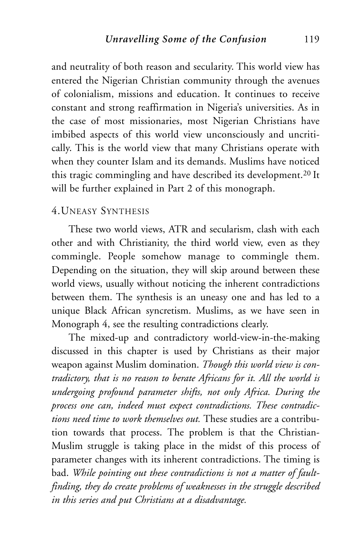and neutrality of both reason and secularity. This world view has entered the Nigerian Christian community through the avenues of colonialism, missions and education. It continues to receive constant and strong reaffirmation in Nigeria's universities. As in the case of most missionaries, most Nigerian Christians have imbibed aspects of this world view unconsciously and uncritically. This is the world view that many Christians operate with when they counter Islam and its demands. Muslims have noticed this tragic commingling and have described its development.20 It will be further explained in Part 2 of this monograph.

#### 4.UNEASY SYNTHESIS

These two world views, ATR and secularism, clash with each other and with Christianity, the third world view, even as they commingle. People somehow manage to commingle them. Depending on the situation, they will skip around between these world views, usually without noticing the inherent contradictions between them. The synthesis is an uneasy one and has led to a unique Black African syncretism. Muslims, as we have seen in Monograph 4, see the resulting contradictions clearly.

The mixed-up and contradictory world-view-in-the-making discussed in this chapter is used by Christians as their major weapon against Muslim domination. *Though this world view is contradictory, that is no reason to berate Africans for it. All the world is undergoing profound parameter shifts, not only Africa. During the process one can, indeed must expect contradictions. These contradictions need time to work themselves out.* These studies are a contribution towards that process. The problem is that the Christian-Muslim struggle is taking place in the midst of this process of parameter changes with its inherent contradictions. The timing is bad. *While pointing out these contradictions is not a matter of faultfinding, they do create problems of weaknesses in the struggle described in this series and put Christians at a disadvantage.*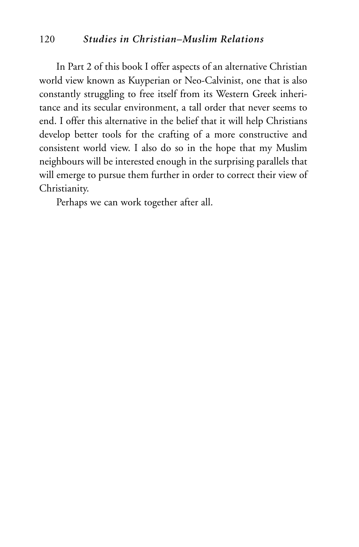#### 120 *Studies in Christian–Muslim Relations*

In Part 2 of this book I offer aspects of an alternative Christian world view known as Kuyperian or Neo-Calvinist, one that is also constantly struggling to free itself from its Western Greek inheritance and its secular environment, a tall order that never seems to end. I offer this alternative in the belief that it will help Christians develop better tools for the crafting of a more constructive and consistent world view. I also do so in the hope that my Muslim neighbours will be interested enough in the surprising parallels that will emerge to pursue them further in order to correct their view of Christianity.

Perhaps we can work together after all.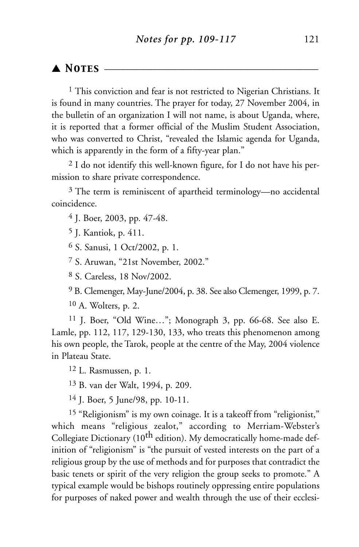#### ▲ *Notes* \_\_\_\_\_\_\_\_\_\_\_\_\_\_\_\_\_\_\_\_\_\_\_\_\_\_\_\_\_\_\_\_\_\_\_\_\_\_\_\_\_

<sup>1</sup> This conviction and fear is not restricted to Nigerian Christians. It is found in many countries. The prayer for today, 27 November 2004, in the bulletin of an organization I will not name, is about Uganda, where, it is reported that a former official of the Muslim Student Association, who was converted to Christ, "revealed the Islamic agenda for Uganda, which is apparently in the form of a fifty-year plan."

2 I do not identify this well-known figure, for I do not have his permission to share private correspondence.

3 The term is reminiscent of apartheid terminology—no accidental coincidence.

4 J. Boer, 2003, pp. 47-48.

5 J. Kantiok, p. 411.

6 S. Sanusi, 1 Oct/2002, p. 1.

7 S. Aruwan, "21st November, 2002."

8 S. Careless, 18 Nov/2002.

9 B. Clemenger, May-June/2004, p. 38. See also Clemenger, 1999, p. 7.

10 A. Wolters, p. 2.

11 J. Boer, "Old Wine…"; Monograph 3, pp. 66-68. See also E. Lamle, pp. 112, 117, 129-130, 133, who treats this phenomenon among his own people, the Tarok, people at the centre of the May, 2004 violence in Plateau State.

12 L. Rasmussen, p. 1.

13 B. van der Walt, 1994, p. 209.

14 J. Boer, 5 June/98, pp. 10-11.

<sup>15</sup> "Religionism" is my own coinage. It is a takeoff from "religionist," which means "religious zealot," according to Merriam-Webster's Collegiate Dictionary (10<sup>th</sup> edition). My democratically home-made definition of "religionism" is "the pursuit of vested interests on the part of a religious group by the use of methods and for purposes that contradict the basic tenets or spirit of the very religion the group seeks to promote." A typical example would be bishops routinely oppressing entire populations for purposes of naked power and wealth through the use of their ecclesi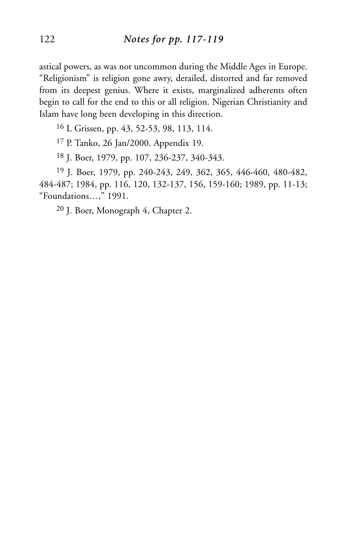astical powers, as was not uncommon during the Middle Ages in Europe. "Religionism" is religion gone awry, derailed, distorted and far removed from its deepest genius. Where it exists, marginalized adherents often begin to call for the end to this or all religion. Nigerian Christianity and Islam have long been developing in this direction.

16 L Grissen, pp. 43, 52-53, 98, 113, 114.

17 P. Tanko, 26 Jan/2000. Appendix 19.

18 J. Boer, 1979, pp. 107, 236-237, 340-343.

19 J. Boer, 1979, pp. 240-243, 249, 362, 365, 446-460, 480-482, 484-487; 1984, pp. 116, 120, 132-137, 156, 159-160; 1989, pp. 11-13; "Foundations…," 1991.

20 J. Boer, Monograph 4, Chapter 2.